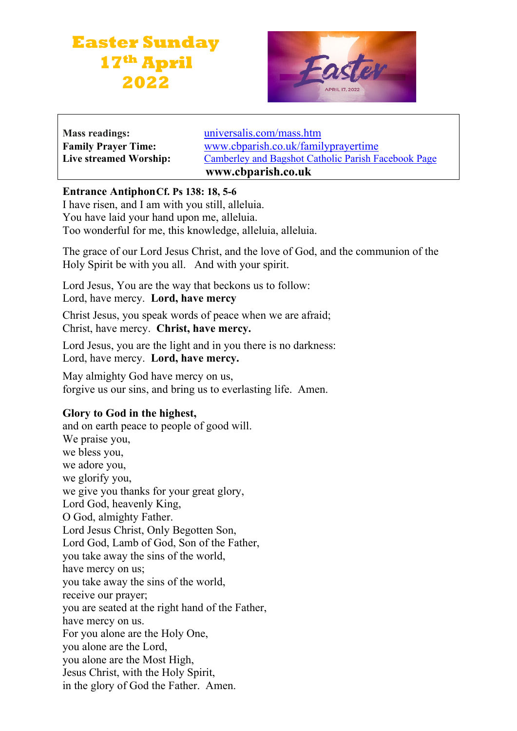# **Easter Sunday 17th April 2022**



| <b>Mass readings:</b>      |
|----------------------------|
| <b>Family Prayer Time:</b> |
| Live streamed Worship:     |
|                            |

**Mass readings:** [universalis.com/mass.htm](https://universalis.com/mass.htm) **Family Prayer Time:** www.cbparish.co.uk/familyprayertime **Live streamed Worship:** [Camberley and Bagshot Catholic Parish Facebook Page](https://www.facebook.com/Camberley-Bagshot-Catholic-Parish-102099478101801/) **www.cbparish.co.uk**

#### **Entrance Antiphon Cf. Ps 138: 18, 5-6**

I have risen, and I am with you still, alleluia. You have laid your hand upon me, alleluia. Too wonderful for me, this knowledge, alleluia, alleluia.

The grace of our Lord Jesus Christ, and the love of God, and the communion of the Holy Spirit be with you all. And with your spirit.

Lord Jesus, You are the way that beckons us to follow: Lord, have mercy. **Lord, have mercy**

Christ Jesus, you speak words of peace when we are afraid; Christ, have mercy. **Christ, have mercy.**

Lord Jesus, you are the light and in you there is no darkness: Lord, have mercy. **Lord, have mercy.**

May almighty God have mercy on us, forgive us our sins, and bring us to everlasting life. Amen.

## **Glory to God in the highest,**

and on earth peace to people of good will. We praise you, we bless you, we adore you, we glorify you, we give you thanks for your great glory, Lord God, heavenly King, O God, almighty Father. Lord Jesus Christ, Only Begotten Son, Lord God, Lamb of God, Son of the Father, you take away the sins of the world, have mercy on us; you take away the sins of the world, receive our prayer; you are seated at the right hand of the Father, have mercy on us. For you alone are the Holy One, you alone are the Lord, you alone are the Most High, Jesus Christ, with the Holy Spirit, in the glory of God the Father. Amen.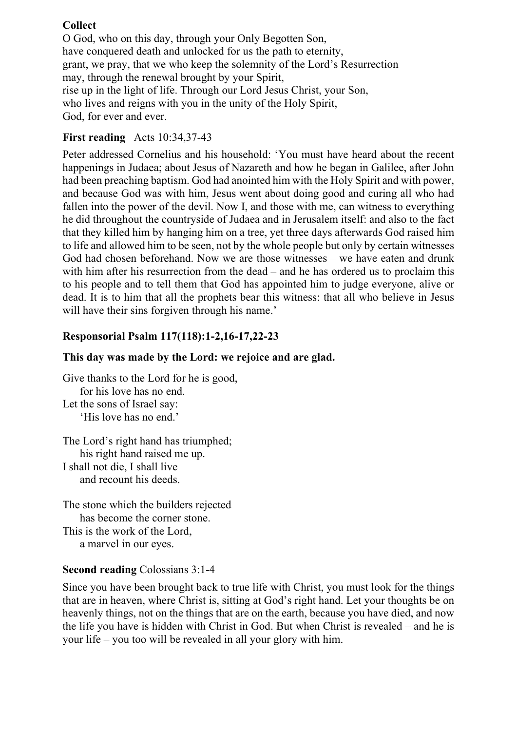#### **Collect**

O God, who on this day, through your Only Begotten Son, have conquered death and unlocked for us the path to eternity, grant, we pray, that we who keep the solemnity of the Lord's Resurrection may, through the renewal brought by your Spirit, rise up in the light of life. Through our Lord Jesus Christ, your Son, who lives and reigns with you in the unity of the Holy Spirit, God, for ever and ever.

## **First reading** Acts 10:34,37-43

Peter addressed Cornelius and his household: 'You must have heard about the recent happenings in Judaea; about Jesus of Nazareth and how he began in Galilee, after John had been preaching baptism. God had anointed him with the Holy Spirit and with power, and because God was with him, Jesus went about doing good and curing all who had fallen into the power of the devil. Now I, and those with me, can witness to everything he did throughout the countryside of Judaea and in Jerusalem itself: and also to the fact that they killed him by hanging him on a tree, yet three days afterwards God raised him to life and allowed him to be seen, not by the whole people but only by certain witnesses God had chosen beforehand. Now we are those witnesses – we have eaten and drunk with him after his resurrection from the dead – and he has ordered us to proclaim this to his people and to tell them that God has appointed him to judge everyone, alive or dead. It is to him that all the prophets bear this witness: that all who believe in Jesus will have their sins forgiven through his name.'

### **Responsorial Psalm 117(118):1-2,16-17,22-23**

#### **This day was made by the Lord: we rejoice and are glad.**

Give thanks to the Lord for he is good, for his love has no end. Let the sons of Israel say: 'His love has no end.'

The Lord's right hand has triumphed; his right hand raised me up. I shall not die, I shall live and recount his deeds.

The stone which the builders rejected has become the corner stone. This is the work of the Lord, a marvel in our eyes.

#### **Second reading** Colossians 3:1-4

Since you have been brought back to true life with Christ, you must look for the things that are in heaven, where Christ is, sitting at God's right hand. Let your thoughts be on heavenly things, not on the things that are on the earth, because you have died, and now the life you have is hidden with Christ in God. But when Christ is revealed – and he is your life – you too will be revealed in all your glory with him.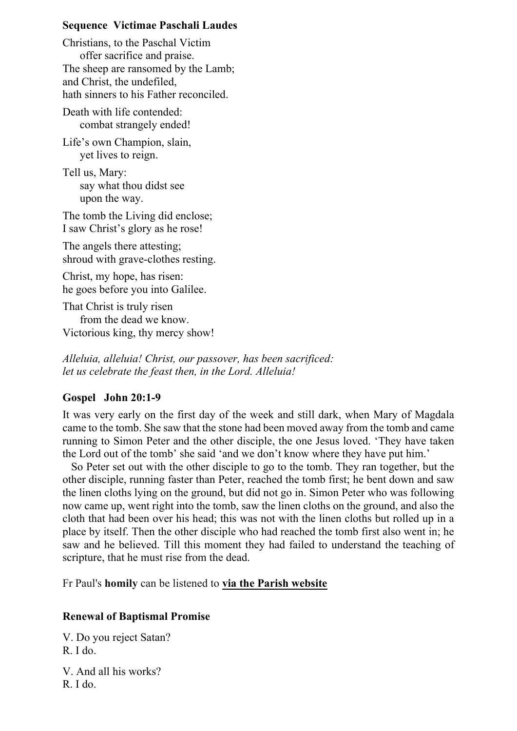#### **Sequence Victimae Paschali Laudes**

Christians, to the Paschal Victim offer sacrifice and praise. The sheep are ransomed by the Lamb; and Christ, the undefiled, hath sinners to his Father reconciled.

Death with life contended: combat strangely ended!

Life's own Champion, slain, yet lives to reign.

Tell us, Mary: say what thou didst see upon the way.

The tomb the Living did enclose; I saw Christ's glory as he rose!

The angels there attesting; shroud with grave-clothes resting.

Christ, my hope, has risen: he goes before you into Galilee.

That Christ is truly risen from the dead we know. Victorious king, thy mercy show!

*Alleluia, alleluia! Christ, our passover, has been sacrificed: let us celebrate the feast then, in the Lord. Alleluia!* 

#### **Gospel John 20:1-9**

It was very early on the first day of the week and still dark, when Mary of Magdala came to the tomb. She saw that the stone had been moved away from the tomb and came running to Simon Peter and the other disciple, the one Jesus loved. 'They have taken the Lord out of the tomb' she said 'and we don't know where they have put him.'

So Peter set out with the other disciple to go to the tomb. They ran together, but the other disciple, running faster than Peter, reached the tomb first; he bent down and saw the linen cloths lying on the ground, but did not go in. Simon Peter who was following now came up, went right into the tomb, saw the linen cloths on the ground, and also the cloth that had been over his head; this was not with the linen cloths but rolled up in a place by itself. Then the other disciple who had reached the tomb first also went in; he saw and he believed. Till this moment they had failed to understand the teaching of scripture, that he must rise from the dead.

Fr Paul's **homily** can be listened to **[via the Parish website](https://www.cbparish.co.uk/homilies)** 

#### **Renewal of Baptismal Promise**

V. Do you reject Satan? R. I do. V. And all his works?

R. I do.